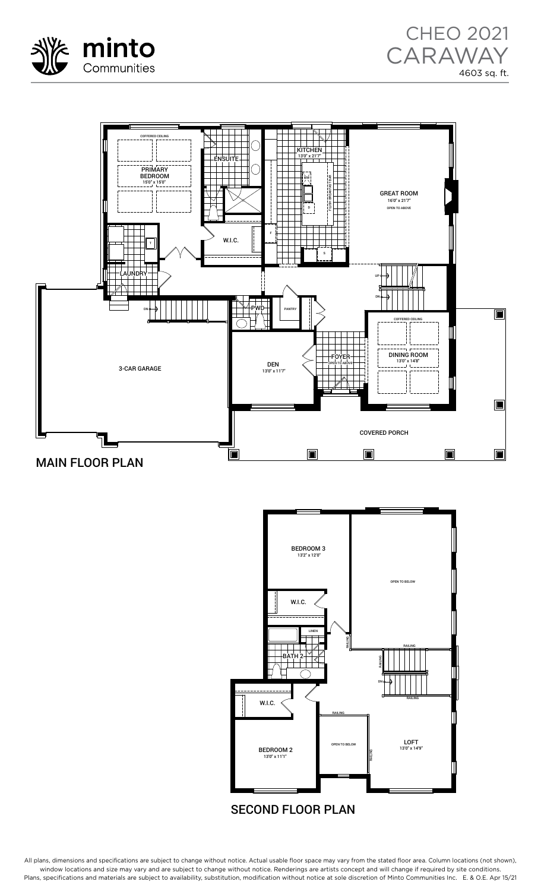





## SECOND FLOOR PLAN

All plans, dimensions and specifications are subject to change without notice. Actual usable floor space may vary from the stated floor area. Column locations (not shown), window locations and size may vary and are subject to change without notice. Renderings are artists concept and will change if required by site conditions. Plans, specifications and materials are subject to availability, substitution, modification without notice at sole discretion of Minto Communities Inc. E. & O.E. Apr 15/21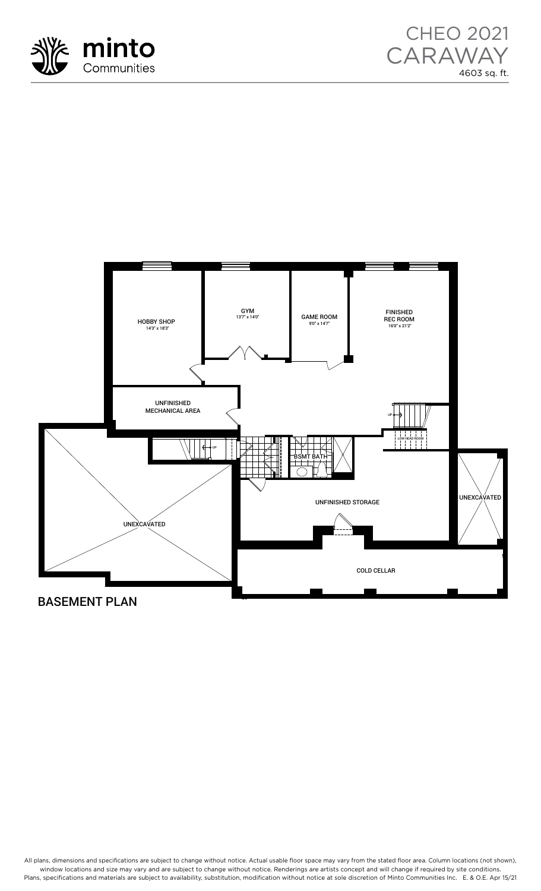





## BASEMENT PLAN

All plans, dimensions and specifications are subject to change without notice. Actual usable floor space may vary from the stated floor area. Column locations (not shown), window locations and size may vary and are subject to change without notice. Renderings are artists concept and will change if required by site conditions. what we call that the subject to divide model is the materials are subject to availability, substitution, modification without notice at sole discretion of Minto Communities Inc. E. & O.E. Apr 15/21